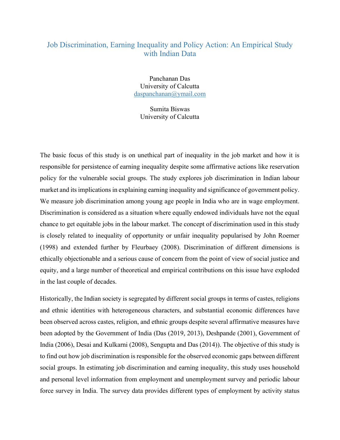## Job Discrimination, Earning Inequality and Policy Action: An Empirical Study with Indian Data

Panchanan Das University of Calcutta daspanchanan@ymail.com

Sumita Biswas University of Calcutta

The basic focus of this study is on unethical part of inequality in the job market and how it is responsible for persistence of earning inequality despite some affirmative actions like reservation policy for the vulnerable social groups. The study explores job discrimination in Indian labour market and its implications in explaining earning inequality and significance of government policy. We measure job discrimination among young age people in India who are in wage employment. Discrimination is considered as a situation where equally endowed individuals have not the equal chance to get equitable jobs in the labour market. The concept of discrimination used in this study is closely related to inequality of opportunity or unfair inequality popularised by John Roemer (1998) and extended further by Fleurbaey (2008). Discrimination of different dimensions is ethically objectionable and a serious cause of concern from the point of view of social justice and equity, and a large number of theoretical and empirical contributions on this issue have exploded in the last couple of decades.

Historically, the Indian society is segregated by different social groups in terms of castes, religions and ethnic identities with heterogeneous characters, and substantial economic differences have been observed across castes, religion, and ethnic groups despite several affirmative measures have been adopted by the Government of India (Das (2019, 2013), Deshpande (2001), Government of India (2006), Desai and Kulkarni (2008), Sengupta and Das (2014)). The objective of this study is to find out how job discrimination is responsible for the observed economic gaps between different social groups. In estimating job discrimination and earning inequality, this study uses household and personal level information from employment and unemployment survey and periodic labour force survey in India. The survey data provides different types of employment by activity status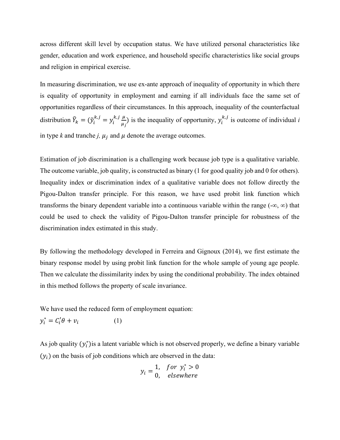across different skill level by occupation status. We have utilized personal characteristics like gender, education and work experience, and household specific characteristics like social groups and religion in empirical exercise.

In measuring discrimination, we use ex-ante approach of inequality of opportunity in which there is equality of opportunity in employment and earning if all individuals face the same set of opportunities regardless of their circumstances. In this approach, inequality of the counterfactual distribution  $\tilde{Y}_k = (\tilde{y}_i^{k,j} = y_i^{k,j} \frac{\mu}{u_i})$  $\frac{\mu}{\mu_j}$  is the inequality of opportunity,  $y_i^{k,j}$  is outcome of individual *i* in type k and tranche j,  $\mu_j$  and  $\mu$  denote the average outcomes.

Estimation of job discrimination is a challenging work because job type is a qualitative variable. The outcome variable, job quality, is constructed as binary (1 for good quality job and 0 for others). Inequality index or discrimination index of a qualitative variable does not follow directly the Pigou-Dalton transfer principle. For this reason, we have used probit link function which transforms the binary dependent variable into a continuous variable within the range  $(-\infty, \infty)$  that could be used to check the validity of Pigou-Dalton transfer principle for robustness of the discrimination index estimated in this study.

By following the methodology developed in Ferreira and Gignoux (2014), we first estimate the binary response model by using probit link function for the whole sample of young age people. Then we calculate the dissimilarity index by using the conditional probability. The index obtained in this method follows the property of scale invariance.

We have used the reduced form of employment equation:

$$
y_i^* = C_i' \theta + v_i \tag{1}
$$

As job quality  $(y_i^*)$  is a latent variable which is not observed properly, we define a binary variable  $(y_i)$  on the basis of job conditions which are observed in the data:

$$
y_i = \begin{cases} 1, & \text{for } y_i^* > 0 \\ 0, & \text{elsewhere} \end{cases}
$$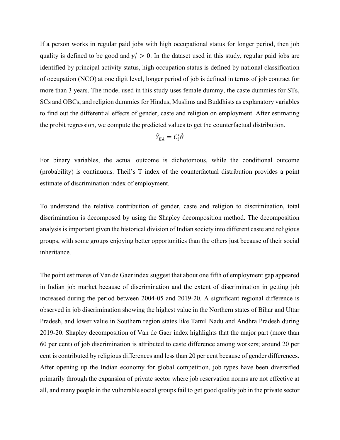If a person works in regular paid jobs with high occupational status for longer period, then job quality is defined to be good and  $y_i^* > 0$ . In the dataset used in this study, regular paid jobs are identified by principal activity status, high occupation status is defined by national classification of occupation (NCO) at one digit level, longer period of job is defined in terms of job contract for more than 3 years. The model used in this study uses female dummy, the caste dummies for STs, SCs and OBCs, and religion dummies for Hindus, Muslims and Buddhists as explanatory variables to find out the differential effects of gender, caste and religion on employment. After estimating the probit regression, we compute the predicted values to get the counterfactual distribution.

$$
\tilde{Y}_{EA}=C'_i\hat{\theta}
$$

For binary variables, the actual outcome is dichotomous, while the conditional outcome (probability) is continuous. Theil's T index of the counterfactual distribution provides a point estimate of discrimination index of employment.

To understand the relative contribution of gender, caste and religion to discrimination, total discrimination is decomposed by using the Shapley decomposition method. The decomposition analysis is important given the historical division of Indian society into different caste and religious groups, with some groups enjoying better opportunities than the others just because of their social inheritance.

The point estimates of Van de Gaer index suggest that about one fifth of employment gap appeared in Indian job market because of discrimination and the extent of discrimination in getting job increased during the period between 2004-05 and 2019-20. A significant regional difference is observed in job discrimination showing the highest value in the Northern states of Bihar and Uttar Pradesh, and lower value in Southern region states like Tamil Nadu and Andhra Pradesh during 2019-20. Shapley decomposition of Van de Gaer index highlights that the major part (more than 60 per cent) of job discrimination is attributed to caste difference among workers; around 20 per cent is contributed by religious differences and less than 20 per cent because of gender differences. After opening up the Indian economy for global competition, job types have been diversified primarily through the expansion of private sector where job reservation norms are not effective at all, and many people in the vulnerable social groups fail to get good quality job in the private sector